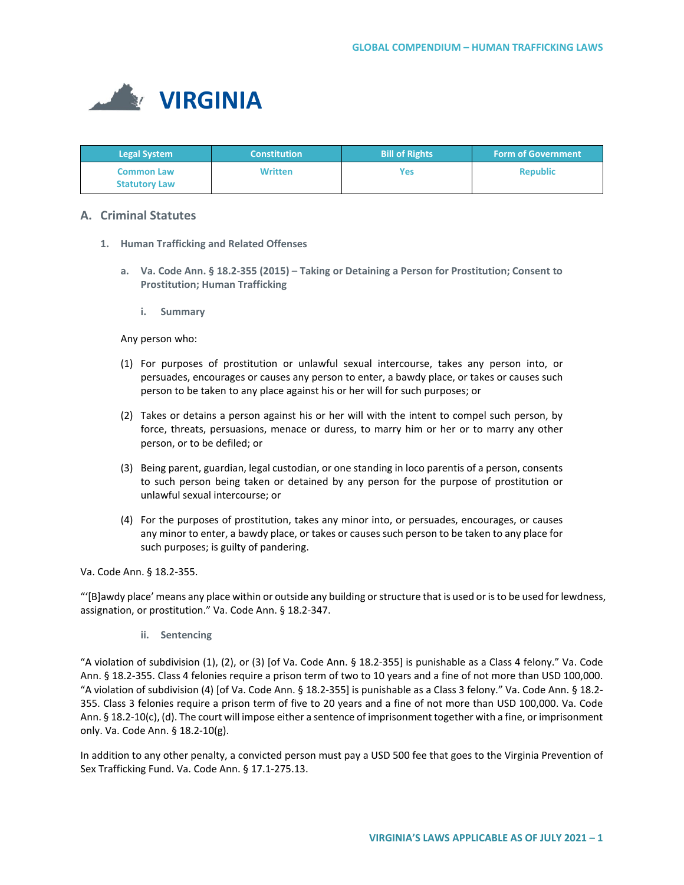

| <b>Legal System</b>                       | <b>Constitution</b> | <b>Bill of Rights</b> | <b>Form of Government</b> |
|-------------------------------------------|---------------------|-----------------------|---------------------------|
| <b>Common Law</b><br><b>Statutory Law</b> | <b>Written</b>      | Yes                   | <b>Republic</b>           |

# **A. Criminal Statutes**

- **1. Human Trafficking and Related Offenses**
	- **a. Va. Code Ann. § 18.2-355 (2015) – Taking or Detaining a Person for Prostitution; Consent to Prostitution; Human Trafficking**
		- **i. Summary**

Any person who:

- (1) For purposes of prostitution or unlawful sexual intercourse, takes any person into, or persuades, encourages or causes any person to enter, a bawdy place, or takes or causes such person to be taken to any place against his or her will for such purposes; or
- (2) Takes or detains a person against his or her will with the intent to compel such person, by force, threats, persuasions, menace or duress, to marry him or her or to marry any other person, or to be defiled; or
- (3) Being parent, guardian, legal custodian, or one standing in loco parentis of a person, consents to such person being taken or detained by any person for the purpose of prostitution or unlawful sexual intercourse; or
- (4) For the purposes of prostitution, takes any minor into, or persuades, encourages, or causes any minor to enter, a bawdy place, or takes or causes such person to be taken to any place for such purposes; is guilty of pandering.

Va. Code Ann. § 18.2-355.

"'[B]awdy place' means any place within or outside any building or structure that is used or is to be used for lewdness, assignation, or prostitution." Va. Code Ann. § 18.2-347.

**ii. Sentencing**

"A violation of subdivision (1), (2), or (3) [of Va. Code Ann. § 18.2-355] is punishable as a Class 4 felony." Va. Code Ann. § 18.2-355. Class 4 felonies require a prison term of two to 10 years and a fine of not more than USD 100,000. "A violation of subdivision (4) [of Va. Code Ann. § 18.2-355] is punishable as a Class 3 felony." Va. Code Ann. § 18.2- 355. Class 3 felonies require a prison term of five to 20 years and a fine of not more than USD 100,000. Va. Code Ann. § 18.2-10(c), (d). The court will impose either a sentence of imprisonment together with a fine, or imprisonment only. Va. Code Ann. § 18.2-10(g).

In addition to any other penalty, a convicted person must pay a USD 500 fee that goes to the Virginia Prevention of Sex Trafficking Fund. Va. Code Ann. § 17.1-275.13.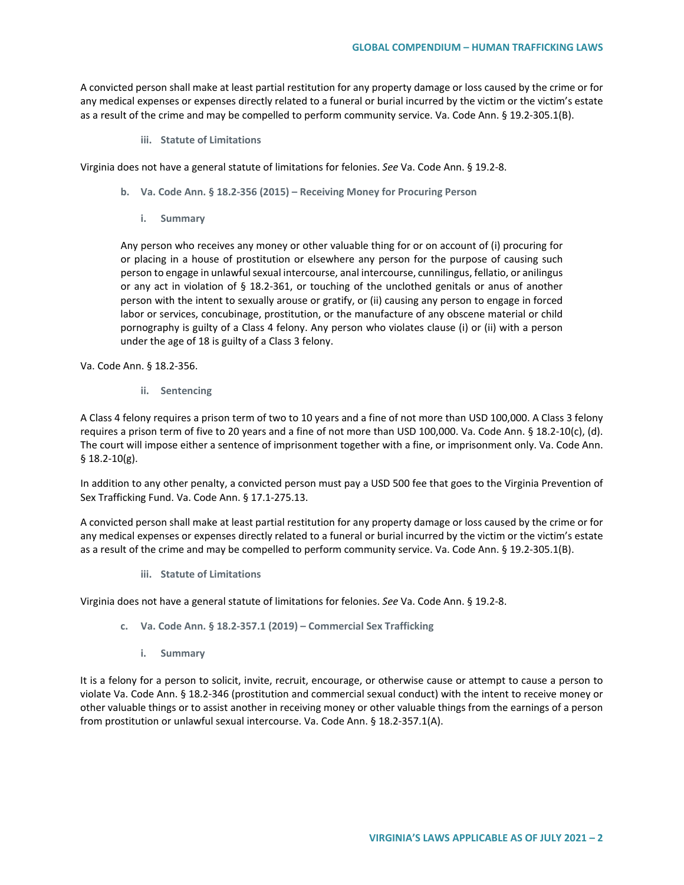A convicted person shall make at least partial restitution for any property damage or loss caused by the crime or for any medical expenses or expenses directly related to a funeral or burial incurred by the victim or the victim's estate as a result of the crime and may be compelled to perform community service. Va. Code Ann. § 19.2-305.1(B).

**iii. Statute of Limitations**

Virginia does not have a general statute of limitations for felonies. *See* Va. Code Ann. § 19.2-8.

- **b. Va. Code Ann. § 18.2-356 (2015) – Receiving Money for Procuring Person**
	- **i. Summary**

Any person who receives any money or other valuable thing for or on account of (i) procuring for or placing in a house of prostitution or elsewhere any person for the purpose of causing such person to engage in unlawful sexual intercourse, anal intercourse, cunnilingus, fellatio, or anilingus or any act in violation of § 18.2-361, or touching of the unclothed genitals or anus of another person with the intent to sexually arouse or gratify, or (ii) causing any person to engage in forced labor or services, concubinage, prostitution, or the manufacture of any obscene material or child pornography is guilty of a Class 4 felony. Any person who violates clause (i) or (ii) with a person under the age of 18 is guilty of a Class 3 felony.

Va. Code Ann. § 18.2-356.

**ii. Sentencing**

A Class 4 felony requires a prison term of two to 10 years and a fine of not more than USD 100,000. A Class 3 felony requires a prison term of five to 20 years and a fine of not more than USD 100,000. Va. Code Ann. § 18.2-10(c), (d). The court will impose either a sentence of imprisonment together with a fine, or imprisonment only. Va. Code Ann. § 18.2-10(g).

In addition to any other penalty, a convicted person must pay a USD 500 fee that goes to the Virginia Prevention of Sex Trafficking Fund. Va. Code Ann. § 17.1-275.13.

A convicted person shall make at least partial restitution for any property damage or loss caused by the crime or for any medical expenses or expenses directly related to a funeral or burial incurred by the victim or the victim's estate as a result of the crime and may be compelled to perform community service. Va. Code Ann. § 19.2-305.1(B).

**iii. Statute of Limitations**

Virginia does not have a general statute of limitations for felonies. *See* Va. Code Ann. § 19.2-8.

- **c. Va. Code Ann. § 18.2-357.1 (2019) – Commercial Sex Trafficking**
	- **i. Summary**

It is a felony for a person to solicit, invite, recruit, encourage, or otherwise cause or attempt to cause a person to violate Va. Code Ann. § 18.2-346 (prostitution and commercial sexual conduct) with the intent to receive money or other valuable things or to assist another in receiving money or other valuable things from the earnings of a person from prostitution or unlawful sexual intercourse. Va. Code Ann. § 18.2-357.1(A).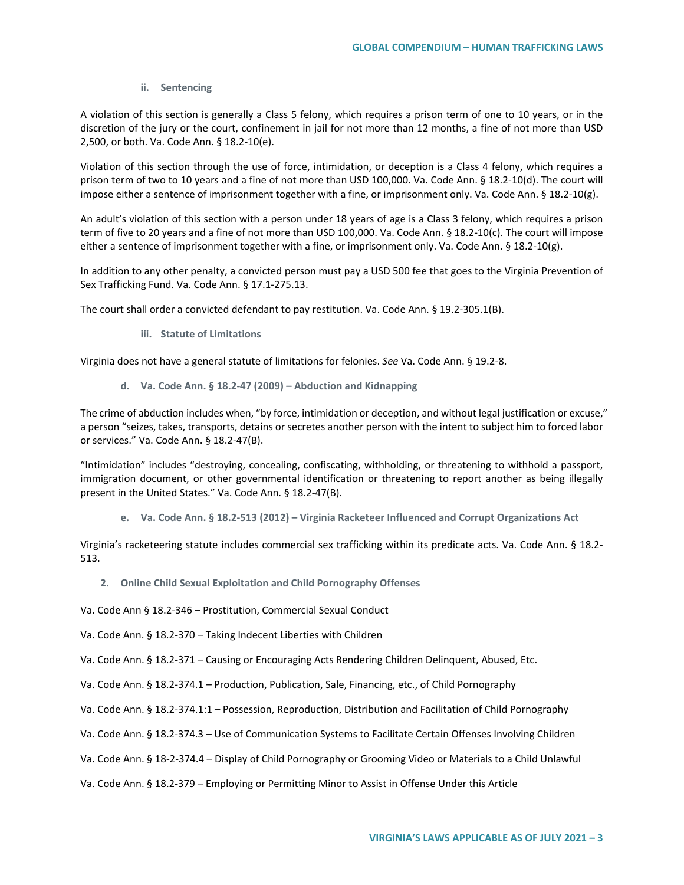### **ii. Sentencing**

A violation of this section is generally a Class 5 felony, which requires a prison term of one to 10 years, or in the discretion of the jury or the court, confinement in jail for not more than 12 months, a fine of not more than USD 2,500, or both. Va. Code Ann. § 18.2-10(e).

Violation of this section through the use of force, intimidation, or deception is a Class 4 felony, which requires a prison term of two to 10 years and a fine of not more than USD 100,000. Va. Code Ann. § 18.2-10(d). The court will impose either a sentence of imprisonment together with a fine, or imprisonment only. Va. Code Ann. § 18.2-10(g).

An adult's violation of this section with a person under 18 years of age is a Class 3 felony, which requires a prison term of five to 20 years and a fine of not more than USD 100,000. Va. Code Ann. § 18.2-10(c). The court will impose either a sentence of imprisonment together with a fine, or imprisonment only. Va. Code Ann. § 18.2-10(g).

In addition to any other penalty, a convicted person must pay a USD 500 fee that goes to the Virginia Prevention of Sex Trafficking Fund. Va. Code Ann. § 17.1-275.13.

The court shall order a convicted defendant to pay restitution. Va. Code Ann. § 19.2-305.1(B).

**iii. Statute of Limitations**

Virginia does not have a general statute of limitations for felonies. *See* Va. Code Ann. § 19.2-8.

**d. Va. Code Ann. § 18.2-47 (2009) – Abduction and Kidnapping**

The crime of abduction includes when, "by force, intimidation or deception, and without legal justification or excuse," a person "seizes, takes, transports, detains or secretes another person with the intent to subject him to forced labor or services." Va. Code Ann. § 18.2-47(B).

"Intimidation" includes "destroying, concealing, confiscating, withholding, or threatening to withhold a passport, immigration document, or other governmental identification or threatening to report another as being illegally present in the United States." Va. Code Ann. § 18.2-47(B).

**e. Va. Code Ann. § 18.2-513 (2012) – Virginia Racketeer Influenced and Corrupt Organizations Act**

Virginia's racketeering statute includes commercial sex trafficking within its predicate acts. Va. Code Ann. § 18.2- 513.

- **2. Online Child Sexual Exploitation and Child Pornography Offenses**
- Va. Code Ann § 18.2-346 Prostitution, Commercial Sexual Conduct

Va. Code Ann. § 18.2-370 – Taking Indecent Liberties with Children

Va. Code Ann. § 18.2-371 – Causing or Encouraging Acts Rendering Children Delinquent, Abused, Etc.

- Va. Code Ann. § 18.2-374.1 Production, Publication, Sale, Financing, etc., of Child Pornography
- Va. Code Ann. § 18.2-374.1:1 Possession, Reproduction, Distribution and Facilitation of Child Pornography
- Va. Code Ann. § 18.2-374.3 Use of Communication Systems to Facilitate Certain Offenses Involving Children
- Va. Code Ann. § 18-2-374.4 Display of Child Pornography or Grooming Video or Materials to a Child Unlawful
- Va. Code Ann. § 18.2-379 Employing or Permitting Minor to Assist in Offense Under this Article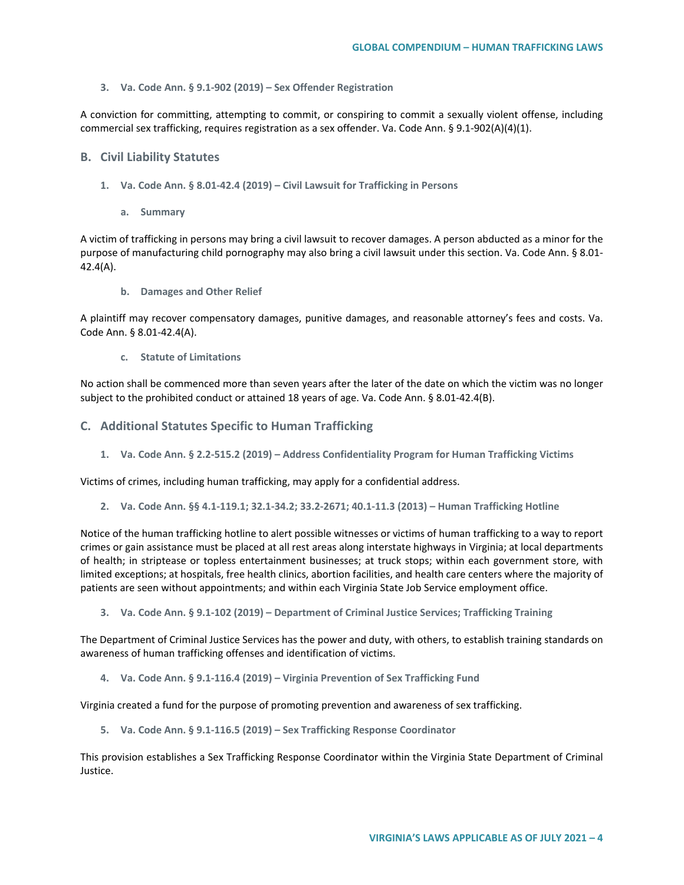#### **3. Va. Code Ann. § 9.1-902 (2019) – Sex Offender Registration**

A conviction for committing, attempting to commit, or conspiring to commit a sexually violent offense, including commercial sex trafficking, requires registration as a sex offender. Va. Code Ann. § 9.1-902(A)(4)(1).

### **B. Civil Liability Statutes**

- **1. Va. Code Ann. § 8.01-42.4 (2019) – Civil Lawsuit for Trafficking in Persons**
	- **a. Summary**

A victim of trafficking in persons may bring a civil lawsuit to recover damages. A person abducted as a minor for the purpose of manufacturing child pornography may also bring a civil lawsuit under this section. Va. Code Ann. § 8.01- 42.4(A).

**b. Damages and Other Relief**

A plaintiff may recover compensatory damages, punitive damages, and reasonable attorney's fees and costs. Va. Code Ann. § 8.01-42.4(A).

**c. Statute of Limitations**

No action shall be commenced more than seven years after the later of the date on which the victim was no longer subject to the prohibited conduct or attained 18 years of age. Va. Code Ann. § 8.01-42.4(B).

### **C. Additional Statutes Specific to Human Trafficking**

**1. Va. Code Ann. § 2.2-515.2 (2019) – Address Confidentiality Program for Human Trafficking Victims**

Victims of crimes, including human trafficking, may apply for a confidential address.

**2. Va. Code Ann. §§ 4.1-119.1; 32.1-34.2; 33.2-2671; 40.1-11.3 (2013) – Human Trafficking Hotline**

Notice of the human trafficking hotline to alert possible witnesses or victims of human trafficking to a way to report crimes or gain assistance must be placed at all rest areas along interstate highways in Virginia; at local departments of health; in striptease or topless entertainment businesses; at truck stops; within each government store, with limited exceptions; at hospitals, free health clinics, abortion facilities, and health care centers where the majority of patients are seen without appointments; and within each Virginia State Job Service employment office.

**3. Va. Code Ann. § 9.1-102 (2019) – Department of Criminal Justice Services; Trafficking Training**

The Department of Criminal Justice Services has the power and duty, with others, to establish training standards on awareness of human trafficking offenses and identification of victims.

**4. Va. Code Ann. § 9.1-116.4 (2019) – Virginia Prevention of Sex Trafficking Fund**

Virginia created a fund for the purpose of promoting prevention and awareness of sex trafficking.

**5. Va. Code Ann. § 9.1-116.5 (2019) – Sex Trafficking Response Coordinator**

This provision establishes a Sex Trafficking Response Coordinator within the Virginia State Department of Criminal Justice.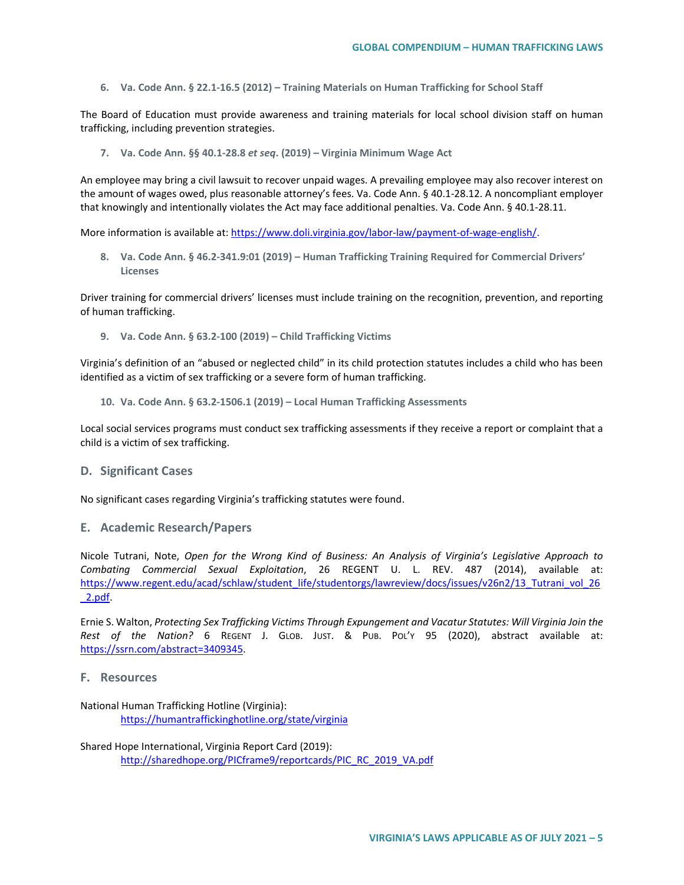**6. Va. Code Ann. § 22.1-16.5 (2012) – Training Materials on Human Trafficking for School Staff**

The Board of Education must provide awareness and training materials for local school division staff on human trafficking, including prevention strategies.

**7. Va. Code Ann. §§ 40.1-28.8** *et seq***. (2019) – Virginia Minimum Wage Act**

An employee may bring a civil lawsuit to recover unpaid wages. A prevailing employee may also recover interest on the amount of wages owed, plus reasonable attorney's fees. Va. Code Ann. § 40.1-28.12. A noncompliant employer that knowingly and intentionally violates the Act may face additional penalties. Va. Code Ann. § 40.1-28.11.

More information is available at: [https://www.doli.virginia.gov/labor-law/payment-of-wage-english/.](https://www.doli.virginia.gov/labor-law/payment-of-wage-english/)

**8. Va. Code Ann. § 46.2-341.9:01 (2019) – Human Trafficking Training Required for Commercial Drivers' Licenses**

Driver training for commercial drivers' licenses must include training on the recognition, prevention, and reporting of human trafficking.

**9. Va. Code Ann. § 63.2-100 (2019) – Child Trafficking Victims**

Virginia's definition of an "abused or neglected child" in its child protection statutes includes a child who has been identified as a victim of sex trafficking or a severe form of human trafficking.

**10. Va. Code Ann. § 63.2-1506.1 (2019) – Local Human Trafficking Assessments** 

Local social services programs must conduct sex trafficking assessments if they receive a report or complaint that a child is a victim of sex trafficking.

# **D. Significant Cases**

No significant cases regarding Virginia's trafficking statutes were found.

**E. Academic Research/Papers**

Nicole Tutrani, Note, *Open for the Wrong Kind of Business: An Analysis of Virginia's Legislative Approach to Combating Commercial Sexual Exploitation*, 26 REGENT U. L. REV. 487 (2014), available at: [https://www.regent.edu/acad/schlaw/student\\_life/studentorgs/lawreview/docs/issues/v26n2/13\\_Tutrani\\_vol\\_26](https://www.regent.edu/acad/schlaw/student_life/studentorgs/lawreview/docs/issues/v26n2/13_Tutrani_vol_26_2.pdf) [\\_2.pdf.](https://www.regent.edu/acad/schlaw/student_life/studentorgs/lawreview/docs/issues/v26n2/13_Tutrani_vol_26_2.pdf)

Ernie S. Walton, *Protecting Sex Trafficking Victims Through Expungement and Vacatur Statutes: Will Virginia Join the Rest of the Nation?* 6 REGENT J. GLOB. JUST. & PUB. POL'Y 95 (2020), abstract available at: [https://ssrn.com/abstract=3409345.](https://ssrn.com/abstract=3409345)

## **F. Resources**

National Human Trafficking Hotline (Virginia): <https://humantraffickinghotline.org/state/virginia>

Shared Hope International, Virginia Report Card (2019): [http://sharedhope.org/PICframe9/reportcards/PIC\\_RC\\_2019\\_VA.pdf](http://sharedhope.org/PICframe9/reportcards/PIC_RC_2019_VA.pdf)